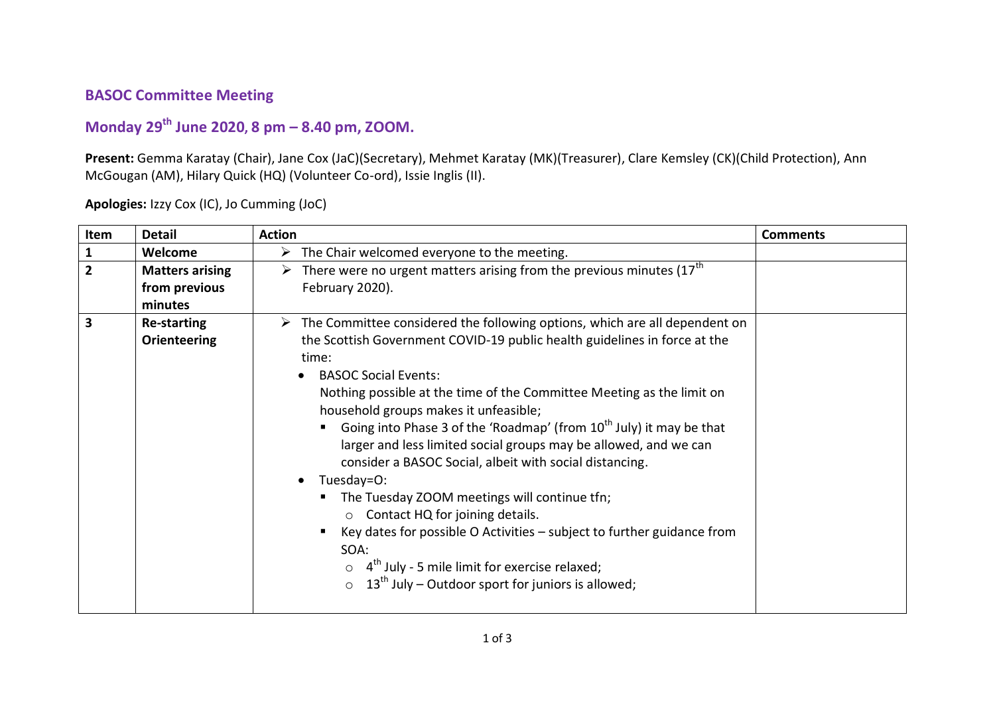## **BASOC Committee Meeting**

## **Monday 29th June 2020, 8 pm – 8.40 pm, ZOOM.**

**Present:** Gemma Karatay (Chair), Jane Cox (JaC)(Secretary), Mehmet Karatay (MK)(Treasurer), Clare Kemsley (CK)(Child Protection), Ann McGougan (AM), Hilary Quick (HQ) (Volunteer Co-ord), Issie Inglis (II).

| Item           | <b>Detail</b>                                                                                                                                                                                                                                                                                                                                                                                                                                                                                                                                                                                                                                                                                                                                                                                                                                                                                                               | <b>Action</b>                                                                                                          | <b>Comments</b> |
|----------------|-----------------------------------------------------------------------------------------------------------------------------------------------------------------------------------------------------------------------------------------------------------------------------------------------------------------------------------------------------------------------------------------------------------------------------------------------------------------------------------------------------------------------------------------------------------------------------------------------------------------------------------------------------------------------------------------------------------------------------------------------------------------------------------------------------------------------------------------------------------------------------------------------------------------------------|------------------------------------------------------------------------------------------------------------------------|-----------------|
| $\mathbf{1}$   | Welcome                                                                                                                                                                                                                                                                                                                                                                                                                                                                                                                                                                                                                                                                                                                                                                                                                                                                                                                     | $\triangleright$ The Chair welcomed everyone to the meeting.                                                           |                 |
| $\overline{2}$ | <b>Matters arising</b><br>from previous<br>minutes                                                                                                                                                                                                                                                                                                                                                                                                                                                                                                                                                                                                                                                                                                                                                                                                                                                                          | $\triangleright$ There were no urgent matters arising from the previous minutes (17 <sup>th</sup> )<br>February 2020). |                 |
| 3              | $\triangleright$ The Committee considered the following options, which are all dependent on<br><b>Re-starting</b><br>the Scottish Government COVID-19 public health guidelines in force at the<br><b>Orienteering</b><br>time:<br><b>BASOC Social Events:</b><br>Nothing possible at the time of the Committee Meeting as the limit on<br>household groups makes it unfeasible;<br>Going into Phase 3 of the 'Roadmap' (from 10 <sup>th</sup> July) it may be that<br>larger and less limited social groups may be allowed, and we can<br>consider a BASOC Social, albeit with social distancing.<br>Tuesday=O:<br>The Tuesday ZOOM meetings will continue tfn;<br>Contact HQ for joining details.<br>$\circ$<br>Key dates for possible O Activities - subject to further guidance from<br>SOA:<br>$\circ$ 4 <sup>th</sup> July - 5 mile limit for exercise relaxed;<br>$13th$ July – Outdoor sport for juniors is allowed; |                                                                                                                        |                 |

**Apologies:** Izzy Cox (IC), Jo Cumming (JoC)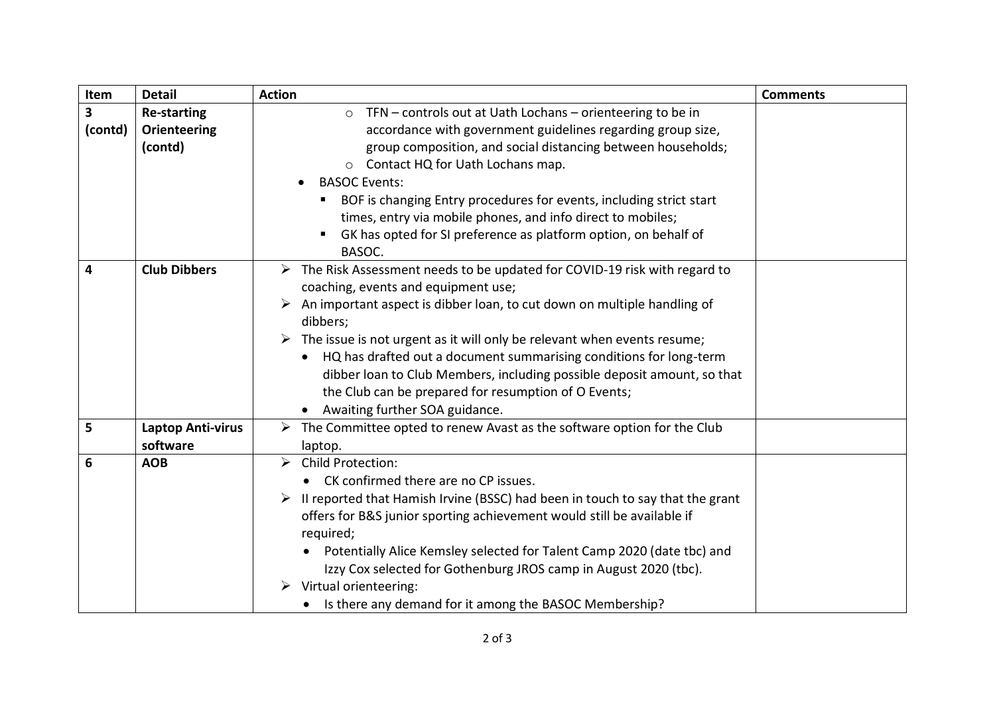| Item         | <b>Detail</b>                                        | <b>Action</b>                                                                                                                                                                                                                                                                                                                                                                                                                                                                                                                                                               | <b>Comments</b> |
|--------------|------------------------------------------------------|-----------------------------------------------------------------------------------------------------------------------------------------------------------------------------------------------------------------------------------------------------------------------------------------------------------------------------------------------------------------------------------------------------------------------------------------------------------------------------------------------------------------------------------------------------------------------------|-----------------|
| 3<br>(contd) | <b>Re-starting</b><br><b>Orienteering</b><br>(contd) | TFN - controls out at Uath Lochans - orienteering to be in<br>$\circ$<br>accordance with government guidelines regarding group size,<br>group composition, and social distancing between households;<br>Contact HQ for Uath Lochans map.<br>$\circ$<br><b>BASOC Events:</b><br>BOF is changing Entry procedures for events, including strict start<br>times, entry via mobile phones, and info direct to mobiles;<br>GK has opted for SI preference as platform option, on behalf of<br>BASOC.                                                                              |                 |
| 4            | <b>Club Dibbers</b>                                  | $\triangleright$ The Risk Assessment needs to be updated for COVID-19 risk with regard to<br>coaching, events and equipment use;<br>An important aspect is dibber loan, to cut down on multiple handling of<br>dibbers;<br>$\triangleright$ The issue is not urgent as it will only be relevant when events resume;<br>HQ has drafted out a document summarising conditions for long-term<br>$\bullet$<br>dibber loan to Club Members, including possible deposit amount, so that<br>the Club can be prepared for resumption of O Events;<br>Awaiting further SOA guidance. |                 |
| 5            | <b>Laptop Anti-virus</b><br>software                 | $\triangleright$ The Committee opted to renew Avast as the software option for the Club<br>laptop.                                                                                                                                                                                                                                                                                                                                                                                                                                                                          |                 |
| 6            | <b>AOB</b>                                           | > Child Protection:<br>CK confirmed there are no CP issues.<br>II reported that Hamish Irvine (BSSC) had been in touch to say that the grant<br>offers for B&S junior sporting achievement would still be available if<br>required;<br>Potentially Alice Kemsley selected for Talent Camp 2020 (date tbc) and<br>Izzy Cox selected for Gothenburg JROS camp in August 2020 (tbc).<br>$\triangleright$ Virtual orienteering:<br>Is there any demand for it among the BASOC Membership?                                                                                       |                 |